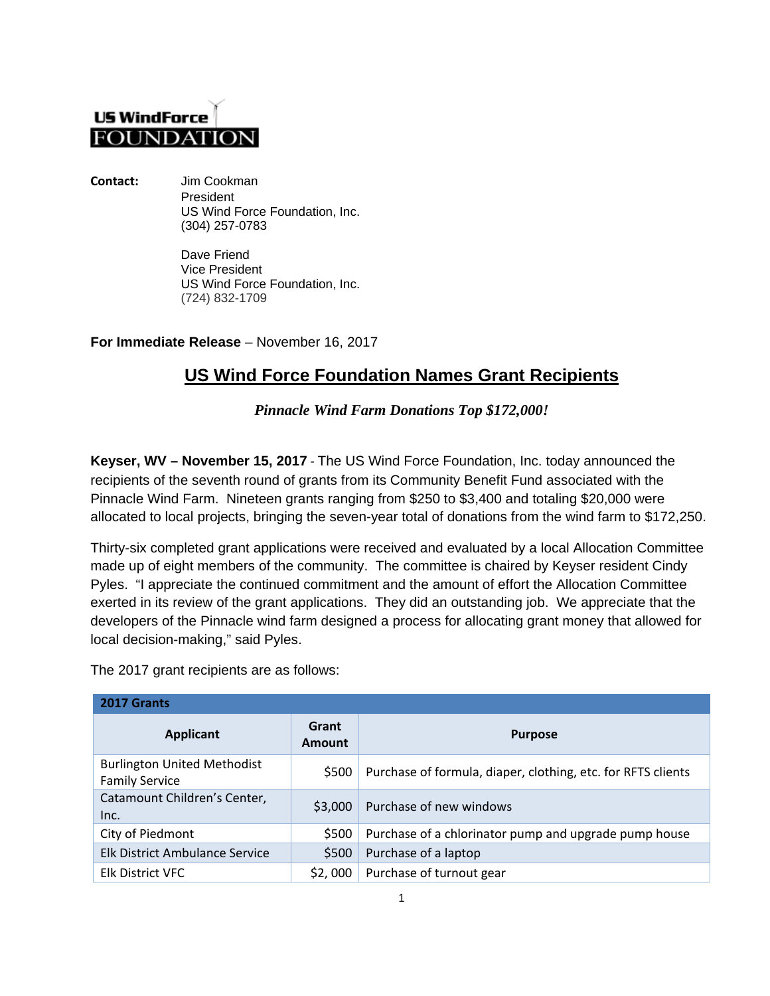## **US WindForce FOUNDATIO**

**Contact:** Jim Cookman President US Wind Force Foundation, Inc. (304) 257-0783

> Dave Friend Vice President US Wind Force Foundation, Inc. (724) 832-1709

**For Immediate Release** – November 16, 2017

## **US Wind Force Foundation Names Grant Recipients**

*Pinnacle Wind Farm Donations Top \$172,000!*

**Keyser, WV – November 15, 2017** - The US Wind Force Foundation, Inc. today announced the recipients of the seventh round of grants from its Community Benefit Fund associated with the Pinnacle Wind Farm. Nineteen grants ranging from \$250 to \$3,400 and totaling \$20,000 were allocated to local projects, bringing the seven-year total of donations from the wind farm to \$172,250.

Thirty-six completed grant applications were received and evaluated by a local Allocation Committee made up of eight members of the community. The committee is chaired by Keyser resident Cindy Pyles. "I appreciate the continued commitment and the amount of effort the Allocation Committee exerted in its review of the grant applications. They did an outstanding job. We appreciate that the developers of the Pinnacle wind farm designed a process for allocating grant money that allowed for local decision-making," said Pyles.

The 2017 grant recipients are as follows:

| 2017 Grants                                                 |                 |                                                              |  |
|-------------------------------------------------------------|-----------------|--------------------------------------------------------------|--|
| Applicant                                                   | Grant<br>Amount | <b>Purpose</b>                                               |  |
| <b>Burlington United Methodist</b><br><b>Family Service</b> | \$500           | Purchase of formula, diaper, clothing, etc. for RFTS clients |  |
| Catamount Children's Center,<br>Inc.                        | \$3,000         | Purchase of new windows                                      |  |
| City of Piedmont                                            | \$500           | Purchase of a chlorinator pump and upgrade pump house        |  |
| Elk District Ambulance Service                              | \$500           | Purchase of a laptop                                         |  |
| <b>Elk District VFC</b>                                     | \$2,000         | Purchase of turnout gear                                     |  |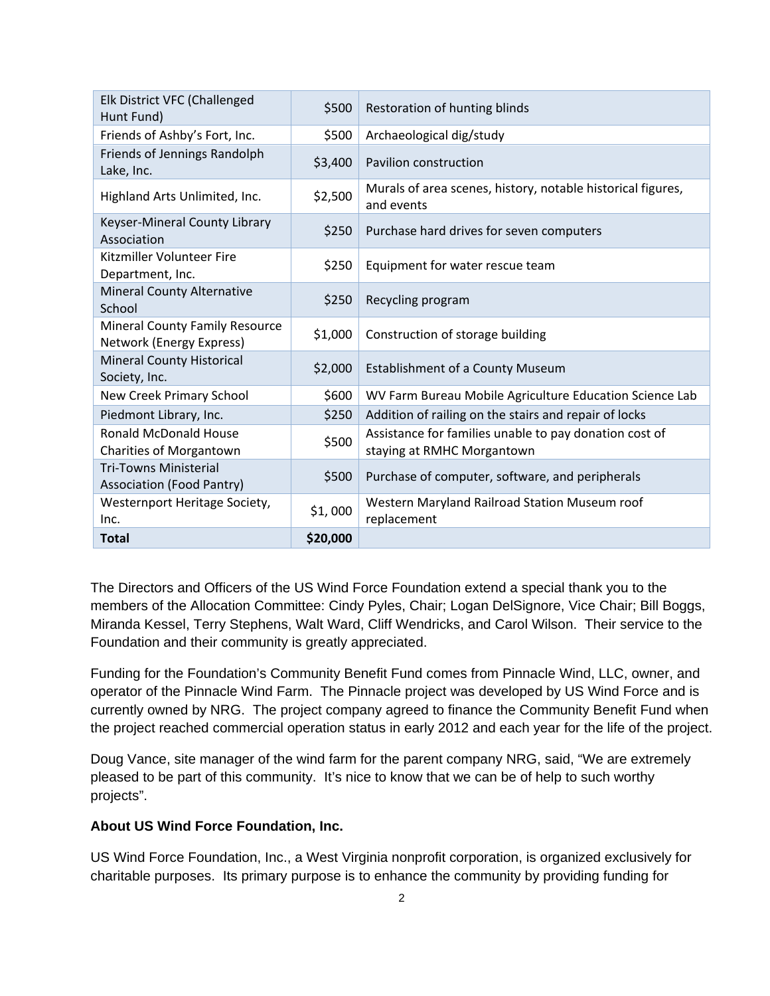| Elk District VFC (Challenged<br>Hunt Fund)                        | \$500    | Restoration of hunting blinds                                                        |
|-------------------------------------------------------------------|----------|--------------------------------------------------------------------------------------|
| Friends of Ashby's Fort, Inc.                                     | \$500    | Archaeological dig/study                                                             |
| Friends of Jennings Randolph<br>Lake, Inc.                        | \$3,400  | <b>Pavilion construction</b>                                                         |
| Highland Arts Unlimited, Inc.                                     | \$2,500  | Murals of area scenes, history, notable historical figures,<br>and events            |
| Keyser-Mineral County Library<br>Association                      | \$250    | Purchase hard drives for seven computers                                             |
| Kitzmiller Volunteer Fire<br>Department, Inc.                     | \$250    | Equipment for water rescue team                                                      |
| <b>Mineral County Alternative</b><br>School                       | \$250    | Recycling program                                                                    |
| <b>Mineral County Family Resource</b><br>Network (Energy Express) | \$1,000  | Construction of storage building                                                     |
| <b>Mineral County Historical</b><br>Society, Inc.                 | \$2,000  | <b>Establishment of a County Museum</b>                                              |
| New Creek Primary School                                          | \$600    | WV Farm Bureau Mobile Agriculture Education Science Lab                              |
| Piedmont Library, Inc.                                            | \$250    | Addition of railing on the stairs and repair of locks                                |
| <b>Ronald McDonald House</b><br><b>Charities of Morgantown</b>    | \$500    | Assistance for families unable to pay donation cost of<br>staying at RMHC Morgantown |
| <b>Tri-Towns Ministerial</b><br><b>Association (Food Pantry)</b>  | \$500    | Purchase of computer, software, and peripherals                                      |
| Westernport Heritage Society,<br>Inc.                             | \$1,000  | Western Maryland Railroad Station Museum roof<br>replacement                         |
| <b>Total</b>                                                      | \$20,000 |                                                                                      |

The Directors and Officers of the US Wind Force Foundation extend a special thank you to the members of the Allocation Committee: Cindy Pyles, Chair; Logan DelSignore, Vice Chair; Bill Boggs, Miranda Kessel, Terry Stephens, Walt Ward, Cliff Wendricks, and Carol Wilson. Their service to the Foundation and their community is greatly appreciated.

Funding for the Foundation's Community Benefit Fund comes from Pinnacle Wind, LLC, owner, and operator of the Pinnacle Wind Farm. The Pinnacle project was developed by US Wind Force and is currently owned by NRG. The project company agreed to finance the Community Benefit Fund when the project reached commercial operation status in early 2012 and each year for the life of the project.

Doug Vance, site manager of the wind farm for the parent company NRG, said, "We are extremely pleased to be part of this community. It's nice to know that we can be of help to such worthy projects".

## **About US Wind Force Foundation, Inc.**

US Wind Force Foundation, Inc., a West Virginia nonprofit corporation, is organized exclusively for charitable purposes. Its primary purpose is to enhance the community by providing funding for